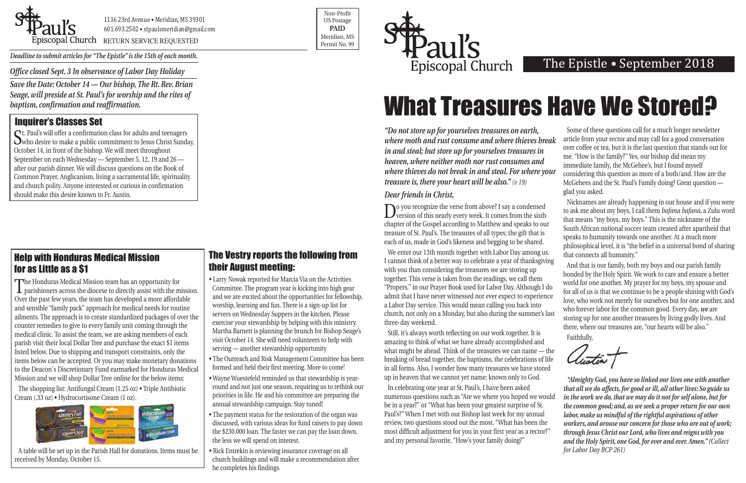*Office closed Sept. 3 In observance of Labor Day Holiday* 

*Save the Date: October 14 — Our bishop, The Rt. Rev. Brian Seage, will preside at St. Paul's for worship and the rites of baptism, confirmation and reaffirmation.* 



Priscopal Church RETURN SERVICE REQUESTED

Non-Profit US Postage **PAID**  Meridian, MS



# What Treasures Have We Stored?

*Deadline to submit articles for "The Epistle" is the 15th of each month.* 

## The Epistle • September 2018

St. Paul's will offer a confirmation class for adults and teenagers who desire to make a public commitment to Jesus Christ Sunday, October 14, in front of the bishop. We will meet throughout September on each Wednesday — September 5, 12, 19 and 26 after our parish dinner. We will discuss questions on the Book of Common Prayer, Anglicanism, living a sacramental life, spirituality and church polity. Anyone interested or curious in confirmation should make this desire known to Fr. Austin.

## Inquirer's Classes Set

*Dear friends in Christ,* 

Do you recognize the verse from above? I say a condensed version of this nearly every week. It comes from the sixth chapter of the Gospel according to Matthew and speaks to our treasure of St. Paul's. The treasures of all types; the gift that is each of us, made in God's likeness and begging to be shared.

We enter our 13th month together with Labor Day among us. I cannot think of a better way to celebrate a year of thanksgiving with you than considering the treasures we are storing up together. This verse is taken from the readings, we call them "Propers," in our Prayer Book used for Labor Day. Although I do admit that I have never witnessed nor ever expect to experience a Labor Day service. This would mean calling you back into church, not only on a Monday, but also during the summer's last three-day weekend. that connects all humanity." And that is our family, both my boys and our parish family bonded by the Holy Spirit. We work to care and ensure a better world for one another. My prayer for my boys, my spouse and for all of us is that we continue to be a people shining with God's love, who work not merely for ourselves but for one another, and who forever labor for the common good. Every day, *we* are storing up for one another treasures by living godly lives. And there, where our treasures are, "our hearts will be also."

*"Do not store up for yourselves treasures on earth, where moth and rust consume and where thieves break in and steal; but store up for yourselves treasures in heaven, where neither moth nor rust consumes and where thieves do not break in and steal. For where your treasure is, there your heart will be also." (v 19)* Some of these questions call for a much longer newsletter article from your rector and may call for a good conversation over coffee or tea, but it is the last question that stands out for me. "How is the family?" Yes, our bishop did mean my immediate family, the McGehee's, but I found myself considering this question as more of a both/and. How are the McGehees and the St. Paul's Family doing? Great question —

Still, it's always worth reflecting on our work together. It is amazing to think of what we have already accomplished and what might be ahead. Think of the treasures we can name — the breaking of bread together, the baptisms, the celebrations of life in all forms. Also, I wonder how many treasures we have stored up in heaven that we cannot yet name; known only to God.

glad you asked.

Nicknames are already happening in our house and if you were to ask me about my boys, I call them *bafana bafana*, a Zulu word that means "my boys, my boys." This is the nickname of the South African national soccer team created after apartheid that speaks to humanity towards one another. At a much more philosophical level, it is "the belief in a universal bond of sharing

In celebrating one year at St. Paul's, I have been asked numerous questions such as "Are we where you hoped we would be in a year?" or "What has been your greatest surprise of St. Paul's?" When I met with our Bishop last week for my annual review, two questions stood out the most. "What has been the most difficult adjustment for you in your first year as a rector?" and my personal favorite, "How's your family doing?" *"Almighty God, you have so linked our lives one with another that all we do affects, for good or ill, all other lives: So guide us in the work we do, that we may do it not for self alone, but for the common good; and, as we seek a proper return for our own labor, make us mindful of the rightful aspirations of other workers, and arouse our concern for those who are out of work; through Jesus Christ our Lord, who lives and reigns with you and the Holy Spirit, one God, for ever and ever. Amen." (Collect for Labor Day BCP 261)* 

Faithfully,

Clustin T

#### The Vestry reports the following from their August meeting:

- Larry Nowak reported for Marcia Via on the Activities Committee. The program year is kicking into high gear and we are excited about the opportunities for fellowship, worship, learning and fun. There is a sign-up list for servers on Wednesday Suppers in the kitchen. Please exercise your stewardship by helping with this ministry. Martha Barnett is planning the brunch for Bishop Seage's visit October 14. She will need volunteers to help with serving — another stewardship opportunity
- The Outreach and Risk Management Committee has been formed and held their first meeting. More to come!
- Wayne Wuestefeld reminded us that stewardship is yearround and not just one season, requiring us to rethink our priorities in life. He and his committee are preparing the annual stewardship campaign. Stay tuned!
- The payment status for the restoration of the organ was discussed, with various ideas for fund raisers to pay down the \$230,000 loan. The faster we can pay the loan down, the less we will spend on interest.
- Rick Entrekin is reviewing insurance coverage on all church buildings and will make a recommendation after he completes his findings.

The Honduras Medical Mission team has an opportunity for parishioners across the diocese to directly assist with the mission. Over the past few years, the team has developed a more affordable and sensible "family pack" approach for medical needs for routine ailments. The approach is to create standardized packages of over the counter remedies to give to every family unit coming through the medical clinic. To assist the team, we are asking members of each parish visit their local Dollar Tree and purchase the exact \$1 items listed below. Due to shipping and transport constraints, only the items below can be accepted. Or you may make monetary donations to the Deacon's Discretionary Fund earmarked for Honduras Medical Mission and we will shop Dollar Tree online for the below items:

The shopping list: Antifungal Cream (1.25 oz) • Triple Antibiotic Cream (.33 oz) • Hydrocortisone Cream (1 oz).



A table will be set up in the Parish Hall for donations. Items must be received by Monday, October 15.

## Help with Honduras Medical Mission for as Little as a \$1